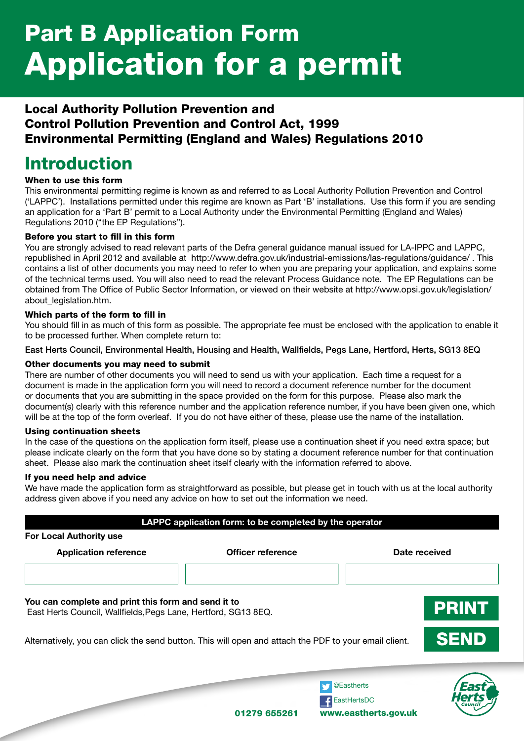# Part B Application Form Application for a permit

### Local Authority Pollution Prevention and Control Pollution Prevention and Control Act, 1999 Environmental Permitting (England and Wales) Regulations 2010

### Introduction

#### When to use this form

This environmental permitting regime is known as and referred to as Local Authority Pollution Prevention and Control ('LAPPC'). Installations permitted under this regime are known as Part 'B' installations. Use this form if you are sending an application for a 'Part B' permit to a Local Authority under the Environmental Permitting (England and Wales) Regulations 2010 ("the EP Regulations").

#### Before you start to fill in this form

You are strongly advised to read relevant parts of the Defra general guidance manual issued for LA-IPPC and LAPPC, republished in April 2012 and available at http://www.defra.gov.uk/industrial-emissions/las-regulations/guidance/ . This contains a list of other documents you may need to refer to when you are preparing your application, and explains some of the technical terms used. You will also need to read the relevant Process Guidance note. The EP Regulations can be obtained from The Office of Public Sector Information, or viewed on their website at http://www.opsi.gov.uk/legislation/ about\_legislation.htm.

#### Which parts of the form to fill in

You should fill in as much of this form as possible. The appropriate fee must be enclosed with the application to enable it to be processed further. When complete return to:

East Herts Council, Environmental Health, Housing and Health, Wallfields, Pegs Lane, Hertford, Herts, SG13 8EQ

#### Other documents you may need to submit

There are number of other documents you will need to send us with your application. Each time a request for a document is made in the application form you will need to record a document reference number for the document or documents that you are submitting in the space provided on the form for this purpose. Please also mark the document(s) clearly with this reference number and the application reference number, if you have been given one, which will be at the top of the form overleaf. If you do not have either of these, please use the name of the installation.

#### Using continuation sheets

In the case of the questions on the application form itself, please use a continuation sheet if you need extra space; but please indicate clearly on the form that you have done so by stating a document reference number for that continuation sheet. Please also mark the continuation sheet itself clearly with the information referred to above.

#### If you need help and advice

We have made the application form as straightforward as possible, but please get in touch with us at the local authority address given above if you need any advice on how to set out the information we need.

| <b>For Local Authority use</b>                                                                                        | LAPPC application form: to be completed by the operator |            |               |  |
|-----------------------------------------------------------------------------------------------------------------------|---------------------------------------------------------|------------|---------------|--|
| <b>Application reference</b>                                                                                          | Officer reference                                       |            | Date received |  |
| You can complete and print this form and send it to<br>East Herts Council, Wallfields, Pegs Lane, Hertford, SG13 8EQ. |                                                         |            | <b>PRINT</b>  |  |
| Alternatively, you can click the send button. This will open and attach the PDF to your email client.                 |                                                         |            | <b>SEND</b>   |  |
|                                                                                                                       |                                                         | @Eastherts |               |  |

01279 655261

www.eastherts.gov.uk

EastHertsDC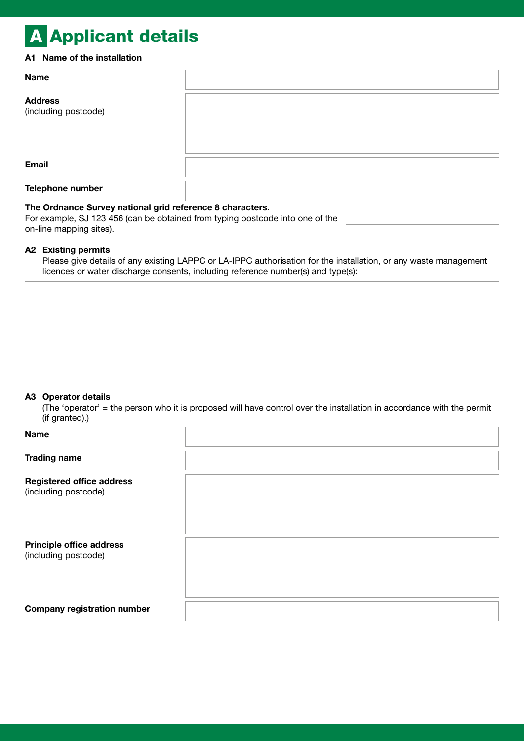## A Applicant details

#### A1 Name of the installation

| <b>Name</b>                                                                                                                                |  |  |  |
|--------------------------------------------------------------------------------------------------------------------------------------------|--|--|--|
| <b>Address</b><br>(including postcode)                                                                                                     |  |  |  |
|                                                                                                                                            |  |  |  |
| <b>Email</b>                                                                                                                               |  |  |  |
| Telephone number                                                                                                                           |  |  |  |
| The Ordnance Survey national grid reference 8 characters.<br>For example, SJ 123 456 (can be obtained from typing postcode into one of the |  |  |  |

#### A2 Existing permits

on-line mapping sites).

Please give details of any existing LAPPC or LA-IPPC authorisation for the installation, or any waste management licences or water discharge consents, including reference number(s) and type(s):

#### A3 Operator details

(The 'operator' = the person who it is proposed will have control over the installation in accordance with the permit (if granted).)

| $\cdots$ gives $\cdots$                                  |  |
|----------------------------------------------------------|--|
| Name                                                     |  |
| <b>Trading name</b>                                      |  |
| <b>Registered office address</b><br>(including postcode) |  |
| <b>Principle office address</b><br>(including postcode)  |  |
| <b>Company registration number</b>                       |  |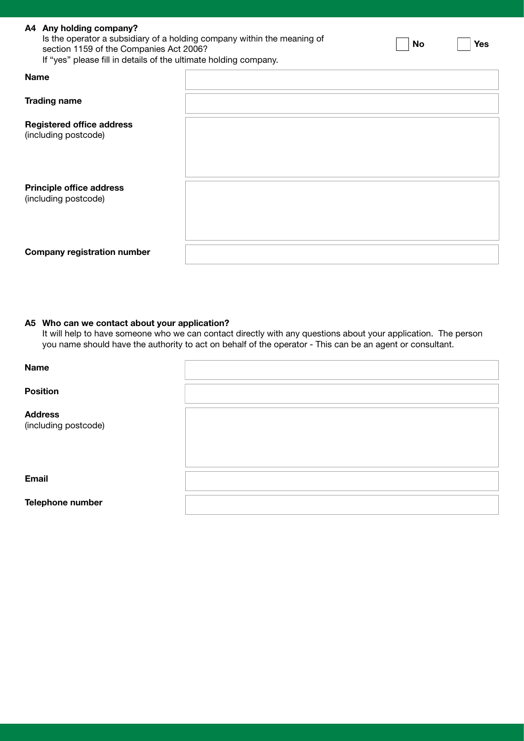|             | A4 Any holding company?<br>Is the operator a subsidiary of a holding company within the meaning of<br>section 1159 of the Companies Act 2006?<br>If "yes" please fill in details of the ultimate holding company. |  | <b>No</b> | <b>Yes</b> |
|-------------|-------------------------------------------------------------------------------------------------------------------------------------------------------------------------------------------------------------------|--|-----------|------------|
| <b>Name</b> |                                                                                                                                                                                                                   |  |           |            |
|             | <b>Trading name</b>                                                                                                                                                                                               |  |           |            |
|             | <b>Registered office address</b><br>(including postcode)                                                                                                                                                          |  |           |            |
|             | <b>Principle office address</b><br>(including postcode)                                                                                                                                                           |  |           |            |
|             | <b>Company registration number</b>                                                                                                                                                                                |  |           |            |

#### A5 Who can we contact about your application?

It will help to have someone who we can contact directly with any questions about your application. The person you name should have the authority to act on behalf of the operator - This can be an agent or consultant.

| <b>Name</b>                            |  |
|----------------------------------------|--|
| <b>Position</b>                        |  |
| <b>Address</b><br>(including postcode) |  |
| <b>Email</b>                           |  |
| Telephone number                       |  |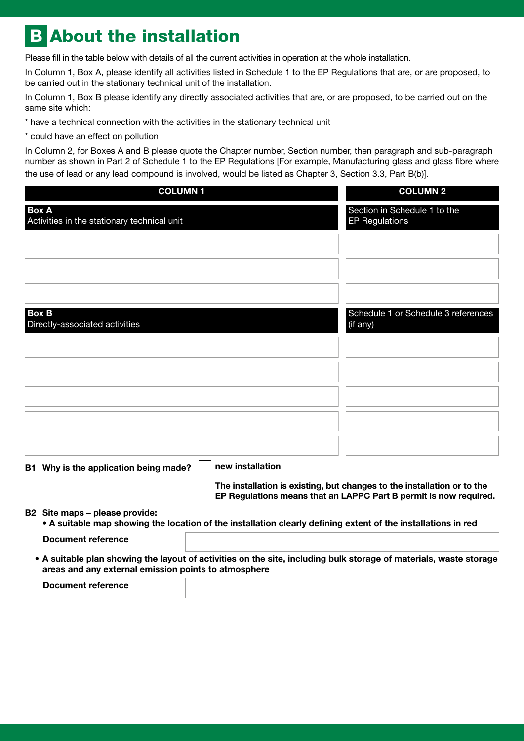### **B About the installation**

Please fill in the table below with details of all the current activities in operation at the whole installation.

In Column 1, Box A, please identify all activities listed in Schedule 1 to the EP Regulations that are, or are proposed, to be carried out in the stationary technical unit of the installation.

In Column 1, Box B please identify any directly associated activities that are, or are proposed, to be carried out on the same site which:

\* have a technical connection with the activities in the stationary technical unit

\* could have an effect on pollution

In Column 2, for Boxes A and B please quote the Chapter number, Section number, then paragraph and sub-paragraph number as shown in Part 2 of Schedule 1 to the EP Regulations [For example, Manufacturing glass and glass fibre where the use of lead or any lead compound is involved, would be listed as Chapter 3, Section 3.3, Part B(b)].

| <b>COLUMN1</b>                                              |                                                                                                               | <b>COLUMN 2</b>                                                                                                                              |
|-------------------------------------------------------------|---------------------------------------------------------------------------------------------------------------|----------------------------------------------------------------------------------------------------------------------------------------------|
| <b>Box A</b><br>Activities in the stationary technical unit |                                                                                                               | Section in Schedule 1 to the<br><b>EP Regulations</b>                                                                                        |
|                                                             |                                                                                                               |                                                                                                                                              |
|                                                             |                                                                                                               |                                                                                                                                              |
|                                                             |                                                                                                               |                                                                                                                                              |
| <b>Box B</b><br>Directly-associated activities              |                                                                                                               | Schedule 1 or Schedule 3 references<br>(if any)                                                                                              |
|                                                             |                                                                                                               |                                                                                                                                              |
|                                                             |                                                                                                               |                                                                                                                                              |
|                                                             |                                                                                                               |                                                                                                                                              |
|                                                             |                                                                                                               |                                                                                                                                              |
|                                                             |                                                                                                               |                                                                                                                                              |
| B1 Why is the application being made?                       | new installation                                                                                              |                                                                                                                                              |
|                                                             |                                                                                                               | The installation is existing, but changes to the installation or to the<br>EP Regulations means that an LAPPC Part B permit is now required. |
| B2 Site maps - please provide:                              | • A suitable map showing the location of the installation clearly defining extent of the installations in red |                                                                                                                                              |
| <b>Document reference</b>                                   |                                                                                                               |                                                                                                                                              |
| areas and any external emission points to atmosphere        |                                                                                                               | • A suitable plan showing the layout of activities on the site, including bulk storage of materials, waste storage                           |
| <b>Document reference</b>                                   |                                                                                                               |                                                                                                                                              |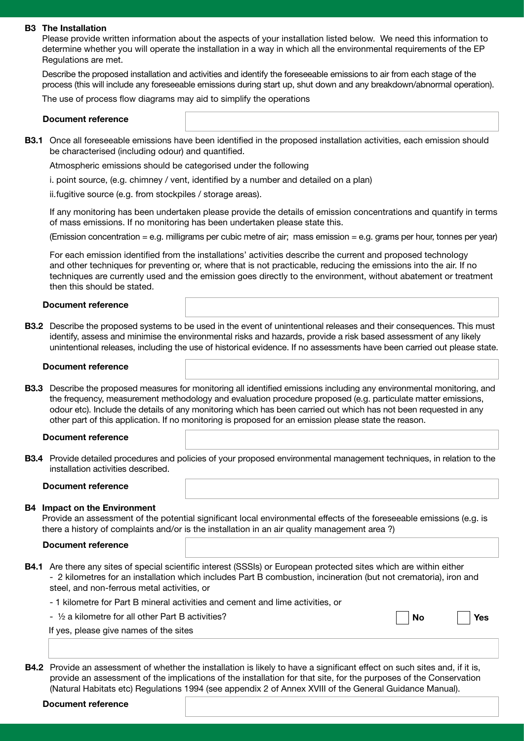#### B3 The Installation

Please provide written information about the aspects of your installation listed below. We need this information to determine whether you will operate the installation in a way in which all the environmental requirements of the EP Regulations are met.

Describe the proposed installation and activities and identify the foreseeable emissions to air from each stage of the process (this will include any foreseeable emissions during start up, shut down and any breakdown/abnormal operation).

The use of process flow diagrams may aid to simplify the operations

#### Document reference

B3.1 Once all foreseeable emissions have been identified in the proposed installation activities, each emission should be characterised (including odour) and quantified.

Atmospheric emissions should be categorised under the following

i. point source, (e.g. chimney / vent, identified by a number and detailed on a plan)

ii.fugitive source (e.g. from stockpiles / storage areas).

If any monitoring has been undertaken please provide the details of emission concentrations and quantify in terms of mass emissions. If no monitoring has been undertaken please state this.

(Emission concentration = e.g. milligrams per cubic metre of air; mass emission = e.g. grams per hour, tonnes per year)

For each emission identified from the installations' activities describe the current and proposed technology and other techniques for preventing or, where that is not practicable, reducing the emissions into the air. If no techniques are currently used and the emission goes directly to the environment, without abatement or treatment then this should be stated.

#### Document reference

**B3.2** Describe the proposed systems to be used in the event of unintentional releases and their consequences. This must identify, assess and minimise the environmental risks and hazards, provide a risk based assessment of any likely unintentional releases, including the use of historical evidence. If no assessments have been carried out please state.

#### Document reference

B3.3 Describe the proposed measures for monitoring all identified emissions including any environmental monitoring, and the frequency, measurement methodology and evaluation procedure proposed (e.g. particulate matter emissions, odour etc). Include the details of any monitoring which has been carried out which has not been requested in any other part of this application. If no monitoring is proposed for an emission please state the reason.

#### Document reference

B3.4 Provide detailed procedures and policies of your proposed environmental management techniques, in relation to the installation activities described.

#### Document reference

#### B4 Impact on the Environment

Provide an assessment of the potential significant local environmental effects of the foreseeable emissions (e.g. is there a history of complaints and/or is the installation in an air quality management area ?)

#### Document reference

- B4.1 Are there any sites of special scientific interest (SSSIs) or European protected sites which are within either - 2 kilometres for an installation which includes Part B combustion, incineration (but not crematoria), iron and steel, and non-ferrous metal activities, or
	- 1 kilometre for Part B mineral activities and cement and lime activities, or

- ½ a kilometre for all other Part B activities?

| N٥ |  | Yes |
|----|--|-----|
|----|--|-----|

If yes, please give names of the sites

B4.2 Provide an assessment of whether the installation is likely to have a significant effect on such sites and, if it is, provide an assessment of the implications of the installation for that site, for the purposes of the Conservation (Natural Habitats etc) Regulations 1994 (see appendix 2 of Annex XVIII of the General Guidance Manual).

#### Document reference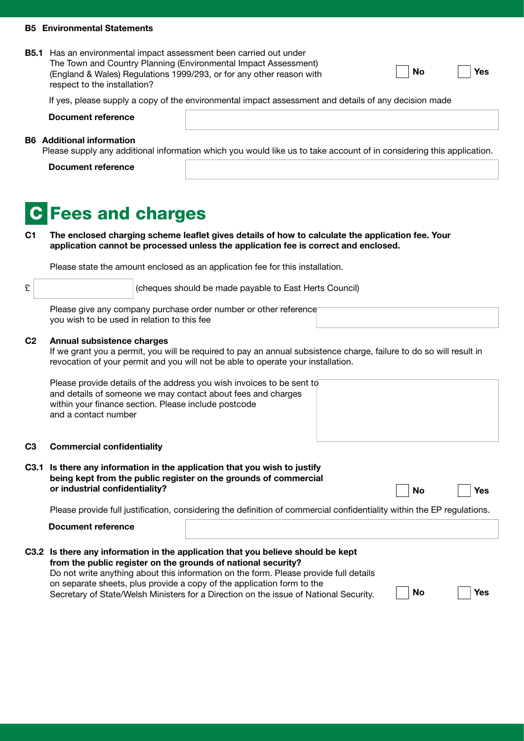#### B5 Environmental Statements

| <b>B5.1</b> Has an environmental impact assessment been carried out under |
|---------------------------------------------------------------------------|
| The Town and Country Planning (Environmental Impact Assessment)           |
| (England & Wales) Regulations 1999/293, or for any other reason with      |
| respect to the installation?                                              |

| No |  |
|----|--|
|----|--|

No

Yes

Yes

Yes

If yes, please supply a copy of the environmental impact assessment and details of any decision made

| Document reference               |                                                                                                                      |  |
|----------------------------------|----------------------------------------------------------------------------------------------------------------------|--|
| <b>B6</b> Additional information |                                                                                                                      |  |
|                                  | Please supply any additional information which you would like us to take account of in considering this application. |  |

Document reference

### **Fees and charges**

C1 The enclosed charging scheme leaflet gives details of how to calculate the application fee. Your application cannot be processed unless the application fee is correct and enclosed.

Please state the amount enclosed as an application fee for this installation.

 $\mathcal{E}$  (cheques should be made payable to East Herts Council)

Please give any company purchase order number or other reference you wish to be used in relation to this fee

#### C2 Annual subsistence charges

If we grant you a permit, you will be required to pay an annual subsistence charge, failure to do so will result in revocation of your permit and you will not be able to operate your installation.

Please provide details of the address you wish invoices to be sent to and details of someone we may contact about fees and charges within your finance section. Please include postcode and a contact number

#### C3 Commercial confidentiality

| C3.1 Is there any information in the application that you wish to justify |
|---------------------------------------------------------------------------|
| being kept from the public register on the grounds of commercial          |
| or industrial confidentiality?                                            |

Please provide full justification, considering the definition of commercial confidentiality within the EP regulations.

#### Document reference

| C3.2 Is there any information in the application that you believe should be kept<br>from the public register on the grounds of national security? |           |
|---------------------------------------------------------------------------------------------------------------------------------------------------|-----------|
| Do not write anything about this information on the form. Please provide full details                                                             |           |
| on separate sheets, plus provide a copy of the application form to the                                                                            |           |
| Secretary of State/Welsh Ministers for a Direction on the issue of National Security.                                                             | <b>No</b> |